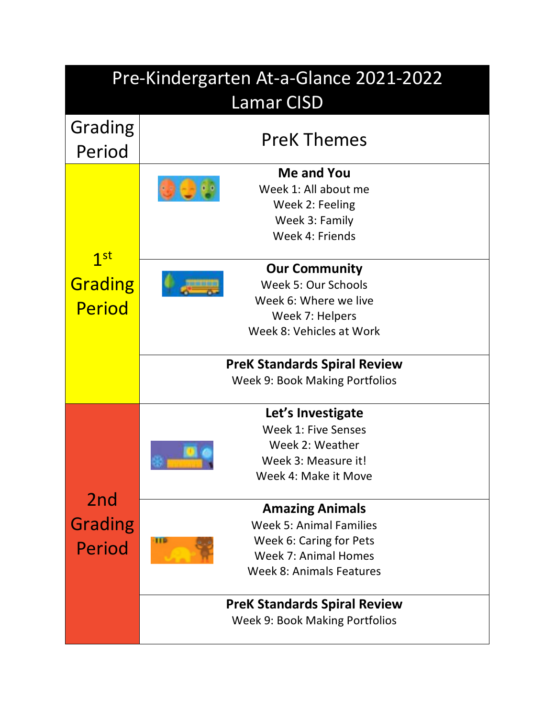| Pre-Kindergarten At-a-Glance 2021-2022      |                                                                                                                                                     |  |
|---------------------------------------------|-----------------------------------------------------------------------------------------------------------------------------------------------------|--|
| <b>Lamar CISD</b>                           |                                                                                                                                                     |  |
| Grading<br>Period                           | <b>PreK Themes</b>                                                                                                                                  |  |
| 1 <sup>st</sup><br>Grading<br><b>Period</b> | Me and You<br>Week 1: All about me<br>Week 2: Feeling<br>Week 3: Family<br>Week 4: Friends                                                          |  |
|                                             | <b>Our Community</b><br>Week 5: Our Schools<br>Week 6: Where we live<br>Week 7: Helpers<br>Week 8: Vehicles at Work                                 |  |
|                                             | <b>PreK Standards Spiral Review</b><br><b>Week 9: Book Making Portfolios</b>                                                                        |  |
| 2nd<br><b>Grading</b><br>Period             | Let's Investigate<br>Week 1: Five Senses<br>Week 2: Weather<br>Week 3: Measure it!<br>Week 4: Make it Move                                          |  |
|                                             | <b>Amazing Animals</b><br>Week 5: Animal Families<br>Week 6: Caring for Pets<br>Ш<br><b>Week 7: Animal Homes</b><br><b>Week 8: Animals Features</b> |  |
|                                             | <b>PreK Standards Spiral Review</b><br><b>Week 9: Book Making Portfolios</b>                                                                        |  |